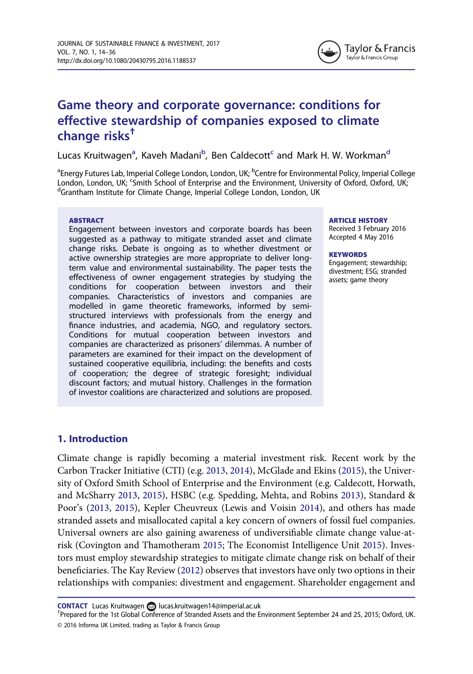

# <span id="page-0-0"></span>Game theory and corporate governance: conditions for effective stewardship of companies exposed to climate change risks†

Lucas Kruitwagen<sup>a</sup>, Kaveh Madani<sup>b</sup>, Ben Caldecott<sup>c</sup> and Mark H. W. Workman<sup>d</sup>

<sup>a</sup>Energy Futures Lab, Imperial College London, London, UK; <sup>b</sup>Centre for Environmental Policy, Imperial College London, London, UK; <sup>c</sup>Smith School of Enterprise and the Environment, University of Oxford, Oxford, UK;<br><sup>d</sup>Graptham Institute for Climate Change, Imperial College London, London, UK <sup>d</sup>Grantham Institute for Climate Change, Imperial College London, London, UK

#### ABSTRACT

Engagement between investors and corporate boards has been suggested as a pathway to mitigate stranded asset and climate change risks. Debate is ongoing as to whether divestment or active ownership strategies are more appropriate to deliver longterm value and environmental sustainability. The paper tests the effectiveness of owner engagement strategies by studying the conditions for cooperation between investors and their companies. Characteristics of investors and companies are modelled in game theoretic frameworks, informed by semistructured interviews with professionals from the energy and finance industries, and academia, NGO, and regulatory sectors. Conditions for mutual cooperation between investors and companies are characterized as prisoners' dilemmas. A number of parameters are examined for their impact on the development of sustained cooperative equilibria, including: the benefits and costs of cooperation; the degree of strategic foresight; individual discount factors; and mutual history. Challenges in the formation of investor coalitions are characterized and solutions are proposed. ARTICLE HISTORY

Received 3 February 2016 Accepted 4 May 2016

#### **KEYWORDS**

Engagement; stewardship; divestment; ESG; stranded assets; game theory

### 1. Introduction

Climate change is rapidly becoming a material investment risk. Recent work by the Carbon Tracker Initiative (CTI) (e.g. [2013](#page-13-0), [2014](#page-13-0)), McGlade and Ekins [\(2015\)](#page-15-0), the University of Oxford Smith School of Enterprise and the Environment (e.g. Caldecott, Horwath, and McSharry [2013](#page-13-0), [2015\)](#page-13-0), HSBC (e.g. Spedding, Mehta, and Robins [2013\)](#page-16-0), Standard & Poor's ([2013,](#page-16-0) [2015](#page-16-0)), Kepler Cheuvreux (Lewis and Voisin [2014](#page-14-0)), and others has made stranded assets and misallocated capital a key concern of owners of fossil fuel companies. Universal owners are also gaining awareness of undiversifiable climate change value-atrisk (Covington and Thamotheram [2015;](#page-13-0) The Economist Intelligence Unit [2015](#page-13-0)). Investors must employ stewardship strategies to mitigate climate change risk on behalf of their beneficiaries. The Kay Review ([2012\)](#page-14-0) observes that investors have only two options in their relationships with companies: divestment and engagement. Shareholder engagement and

CONTACT Lucas Kruitwagen a[lucas.kruitwagen14@imperial.ac.uk](mailto:lucas.kruitwagen14@imperial.ac.uk)

<sup>© 2016</sup> Informa UK Limited, trading as Taylor & Francis Group <sup>T</sup>Prepared for the 1st Global Conference of Stranded Assets and the Environment September 24 and 25, 2015; Oxford, UK.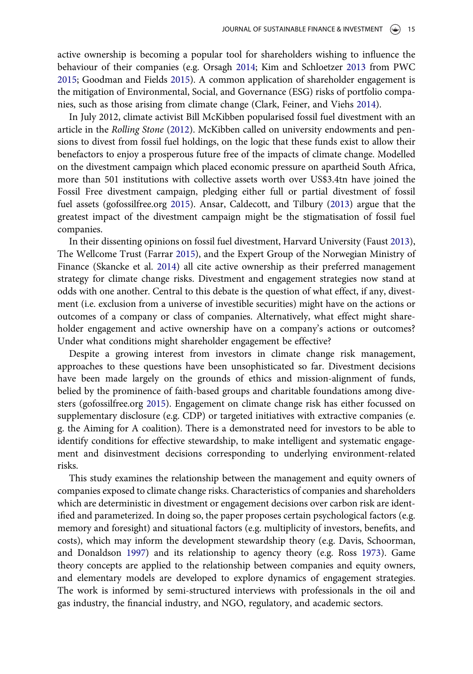<span id="page-1-0"></span>active ownership is becoming a popular tool for shareholders wishing to influence the behaviour of their companies (e.g. Orsagh [2014](#page-15-0); Kim and Schloetzer [2013](#page-14-0) from PWC [2015](#page-15-0); Goodman and Fields [2015](#page-14-0)). A common application of shareholder engagement is the mitigation of Environmental, Social, and Governance (ESG) risks of portfolio companies, such as those arising from climate change (Clark, Feiner, and Viehs [2014](#page-13-0)).

In July 2012, climate activist Bill McKibben popularised fossil fuel divestment with an article in the Rolling Stone ([2012\)](#page-15-0). McKibben called on university endowments and pensions to divest from fossil fuel holdings, on the logic that these funds exist to allow their benefactors to enjoy a prosperous future free of the impacts of climate change. Modelled on the divestment campaign which placed economic pressure on apartheid South Africa, more than 501 institutions with collective assets worth over US\$3.4tn have joined the Fossil Free divestment campaign, pledging either full or partial divestment of fossil fuel assets (gofossilfree.org [2015](#page-14-0)). Ansar, Caldecott, and Tilbury ([2013\)](#page-13-0) argue that the greatest impact of the divestment campaign might be the stigmatisation of fossil fuel companies.

In their dissenting opinions on fossil fuel divestment, Harvard University (Faust [2013](#page-14-0)), The Wellcome Trust (Farrar [2015\)](#page-13-0), and the Expert Group of the Norwegian Ministry of Finance (Skancke et al. [2014](#page-16-0)) all cite active ownership as their preferred management strategy for climate change risks. Divestment and engagement strategies now stand at odds with one another. Central to this debate is the question of what effect, if any, divestment (i.e. exclusion from a universe of investible securities) might have on the actions or outcomes of a company or class of companies. Alternatively, what effect might shareholder engagement and active ownership have on a company's actions or outcomes? Under what conditions might shareholder engagement be effective?

Despite a growing interest from investors in climate change risk management, approaches to these questions have been unsophisticated so far. Divestment decisions have been made largely on the grounds of ethics and mission-alignment of funds, belied by the prominence of faith-based groups and charitable foundations among divesters (gofossilfree.org [2015\)](#page-14-0). Engagement on climate change risk has either focussed on supplementary disclosure (e.g. CDP) or targeted initiatives with extractive companies (e. g. the Aiming for A coalition). There is a demonstrated need for investors to be able to identify conditions for effective stewardship, to make intelligent and systematic engagement and disinvestment decisions corresponding to underlying environment-related risks.

This study examines the relationship between the management and equity owners of companies exposed to climate change risks. Characteristics of companies and shareholders which are deterministic in divestment or engagement decisions over carbon risk are identified and parameterized. In doing so, the paper proposes certain psychological factors (e.g. memory and foresight) and situational factors (e.g. multiplicity of investors, benefits, and costs), which may inform the development stewardship theory (e.g. Davis, Schoorman, and Donaldson [1997\)](#page-13-0) and its relationship to agency theory (e.g. Ross [1973](#page-15-0)). Game theory concepts are applied to the relationship between companies and equity owners, and elementary models are developed to explore dynamics of engagement strategies. The work is informed by semi-structured interviews with professionals in the oil and gas industry, the financial industry, and NGO, regulatory, and academic sectors.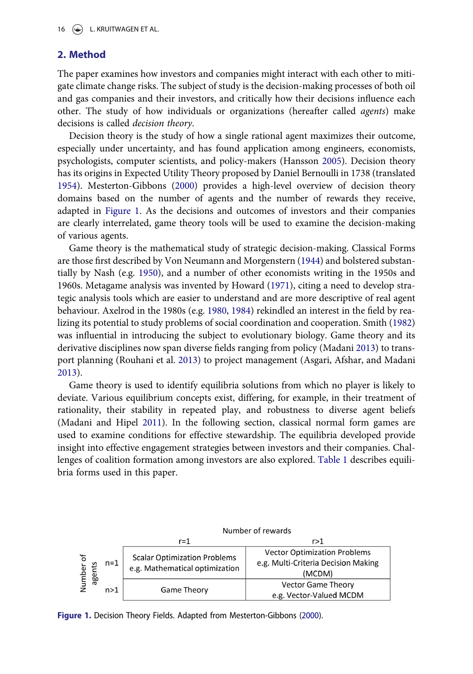### <span id="page-2-0"></span>2. Method

The paper examines how investors and companies might interact with each other to mitigate climate change risks. The subject of study is the decision-making processes of both oil and gas companies and their investors, and critically how their decisions influence each other. The study of how individuals or organizations (hereafter called agents) make decisions is called decision theory.

Decision theory is the study of how a single rational agent maximizes their outcome, especially under uncertainty, and has found application among engineers, economists, psychologists, computer scientists, and policy-makers (Hansson [2005](#page-14-0)). Decision theory has its origins in Expected Utility Theory proposed by Daniel Bernoulli in 1738 (translated [1954](#page-13-0)). Mesterton-Gibbons ([2000\)](#page-15-0) provides a high-level overview of decision theory domains based on the number of agents and the number of rewards they receive, adapted in Figure 1. As the decisions and outcomes of investors and their companies are clearly interrelated, game theory tools will be used to examine the decision-making of various agents.

Game theory is the mathematical study of strategic decision-making. Classical Forms are those first described by Von Neumann and Morgenstern ([1944\)](#page-15-0) and bolstered substantially by Nash (e.g. [1950\)](#page-15-0), and a number of other economists writing in the 1950s and 1960s. Metagame analysis was invented by Howard [\(1971](#page-14-0)), citing a need to develop strategic analysis tools which are easier to understand and are more descriptive of real agent behaviour. Axelrod in the 1980s (e.g. [1980](#page-13-0), [1984](#page-13-0)) rekindled an interest in the field by realizing its potential to study problems of social coordination and cooperation. Smith ([1982\)](#page-16-0) was influential in introducing the subject to evolutionary biology. Game theory and its derivative disciplines now span diverse fields ranging from policy (Madani [2013\)](#page-15-0) to transport planning (Rouhani et al. [2013](#page-15-0)) to project management (Asgari, Afshar, and Madani [2013](#page-13-0)).

Game theory is used to identify equilibria solutions from which no player is likely to deviate. Various equilibrium concepts exist, differing, for example, in their treatment of rationality, their stability in repeated play, and robustness to diverse agent beliefs (Madani and Hipel [2011\)](#page-15-0). In the following section, classical normal form games are used to examine conditions for effective stewardship. The equilibria developed provide insight into effective engagement strategies between investors and their companies. Challenges of coalition formation among investors are also explored. [Table 1](#page-3-0) describes equilibria forms used in this paper.



Figure 1. Decision Theory Fields. Adapted from Mesterton-Gibbons ([2000\)](#page-15-0).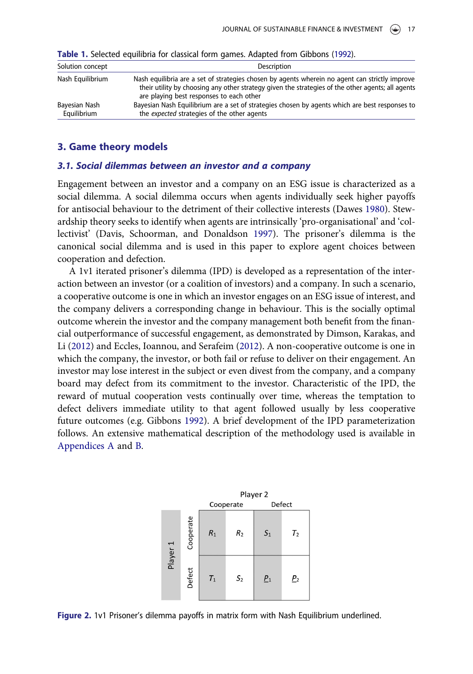| Solution concept             | Description                                                                                                                                                                                                                                     |  |
|------------------------------|-------------------------------------------------------------------------------------------------------------------------------------------------------------------------------------------------------------------------------------------------|--|
| Nash Equilibrium             | Nash equilibria are a set of strategies chosen by agents wherein no agent can strictly improve<br>their utility by choosing any other strategy given the strategies of the other agents; all agents<br>are playing best responses to each other |  |
| Bayesian Nash<br>Equilibrium | Bayesian Nash Equilibrium are a set of strategies chosen by agents which are best responses to<br>the expected strategies of the other agents                                                                                                   |  |

<span id="page-3-0"></span>Table 1. Selected equilibria for classical form games. Adapted from Gibbons ([1992](#page-14-0)).

### 3. Game theory models

### 3.1. Social dilemmas between an investor and a company

Engagement between an investor and a company on an ESG issue is characterized as a social dilemma. A social dilemma occurs when agents individually seek higher payoffs for antisocial behaviour to the detriment of their collective interests (Dawes [1980](#page-13-0)). Stewardship theory seeks to identify when agents are intrinsically 'pro-organisational' and 'collectivist' (Davis, Schoorman, and Donaldson [1997](#page-13-0)). The prisoner's dilemma is the canonical social dilemma and is used in this paper to explore agent choices between cooperation and defection.

A 1v1 iterated prisoner's dilemma (IPD) is developed as a representation of the interaction between an investor (or a coalition of investors) and a company. In such a scenario, a cooperative outcome is one in which an investor engages on an ESG issue of interest, and the company delivers a corresponding change in behaviour. This is the socially optimal outcome wherein the investor and the company management both benefit from the financial outperformance of successful engagement, as demonstrated by Dimson, Karakas, and Li [\(2012\)](#page-13-0) and Eccles, Ioannou, and Serafeim ([2012](#page-13-0)). A non-cooperative outcome is one in which the company, the investor, or both fail or refuse to deliver on their engagement. An investor may lose interest in the subject or even divest from the company, and a company board may defect from its commitment to the investor. Characteristic of the IPD, the reward of mutual cooperation vests continually over time, whereas the temptation to defect delivers immediate utility to that agent followed usually by less cooperative future outcomes (e.g. Gibbons [1992](#page-14-0)). A brief development of the IPD parameterization follows. An extensive mathematical description of the methodology used is available in [Appendices A](#page-16-0) and [B](#page-17-0).



Figure 2. 1v1 Prisoner's dilemma payoffs in matrix form with Nash Equilibrium underlined.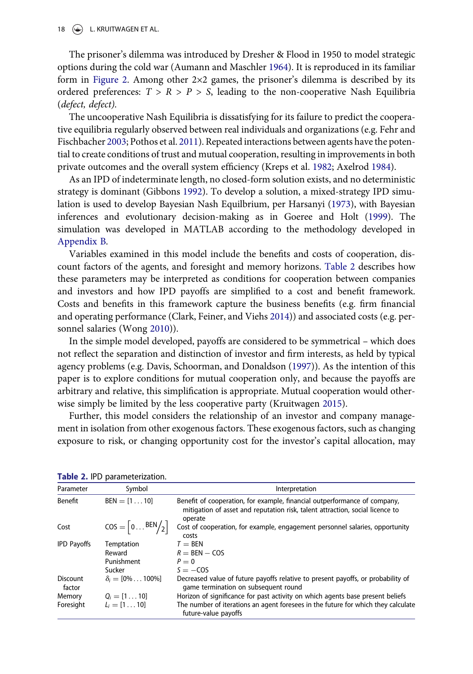<span id="page-4-0"></span>18  $\left(\rightarrow\right)$  L. KRUITWAGEN ET AL.

The prisoner's dilemma was introduced by Dresher & Flood in 1950 to model strategic options during the cold war (Aumann and Maschler [1964\)](#page-13-0). It is reproduced in its familiar form in [Figure 2.](#page-3-0) Among other 2×2 games, the prisoner's dilemma is described by its ordered preferences:  $T > R > P > S$ , leading to the non-cooperative Nash Equilibria (defect, defect).

The uncooperative Nash Equilibria is dissatisfying for its failure to predict the cooperative equilibria regularly observed between real individuals and organizations (e.g. Fehr and Fischbacher [2003;](#page-14-0) Pothos et al. [2011\)](#page-15-0). Repeated interactions between agents have the potential to create conditions of trust and mutual cooperation, resulting in improvements in both private outcomes and the overall system efficiency (Kreps et al. [1982](#page-14-0); Axelrod [1984\)](#page-13-0).

As an IPD of indeterminate length, no closed-form solution exists, and no deterministic strategy is dominant (Gibbons [1992\)](#page-14-0). To develop a solution, a mixed-strategy IPD simulation is used to develop Bayesian Nash Equilbrium, per Harsanyi ([1973\)](#page-14-0), with Bayesian inferences and evolutionary decision-making as in Goeree and Holt [\(1999](#page-14-0)). The simulation was developed in MATLAB according to the methodology developed in [Appendix B](#page-17-0).

Variables examined in this model include the benefits and costs of cooperation, discount factors of the agents, and foresight and memory horizons. Table 2 describes how these parameters may be interpreted as conditions for cooperation between companies and investors and how IPD payoffs are simplified to a cost and benefit framework. Costs and benefits in this framework capture the business benefits (e.g. firm financial and operating performance (Clark, Feiner, and Viehs [2014\)](#page-13-0)) and associated costs (e.g. personnel salaries (Wong [2010\)](#page-16-0)).

In the simple model developed, payoffs are considered to be symmetrical – which does not reflect the separation and distinction of investor and firm interests, as held by typical agency problems (e.g. Davis, Schoorman, and Donaldson ([1997\)](#page-13-0)). As the intention of this paper is to explore conditions for mutual cooperation only, and because the payoffs are arbitrary and relative, this simplification is appropriate. Mutual cooperation would otherwise simply be limited by the less cooperative party (Kruitwagen [2015\)](#page-14-0).

Further, this model considers the relationship of an investor and company management in isolation from other exogenous factors. These exogenous factors, such as changing exposure to risk, or changing opportunity cost for the investor's capital allocation, may

| Parameter                 | Symbol                                     | Interpretation                                                                                                                                                        |
|---------------------------|--------------------------------------------|-----------------------------------------------------------------------------------------------------------------------------------------------------------------------|
| Benefit                   | $BEN = [110]$                              | Benefit of cooperation, for example, financial outperformance of company,<br>mitigation of asset and reputation risk, talent attraction, social licence to<br>operate |
| Cost                      | $\cos = \left[0 \dots \text{BEN}/2\right]$ | Cost of cooperation, for example, engagement personnel salaries, opportunity<br>costs                                                                                 |
| <b>IPD Payoffs</b>        | Temptation                                 | $T = BEN$                                                                                                                                                             |
|                           | Reward                                     | $R = BEN - COS$                                                                                                                                                       |
|                           | Punishment                                 | $P=0$                                                                                                                                                                 |
|                           | Sucker                                     | $S = -COS$                                                                                                                                                            |
| <b>Discount</b><br>factor | $\delta_i = [0\% \dots 100\%]$             | Decreased value of future payoffs relative to present payoffs, or probability of<br>game termination on subsequent round                                              |
| Memory                    | $Q_i = [1 \dots 10]$                       | Horizon of significance for past activity on which agents base present beliefs                                                                                        |
| Foresight                 | $L_i = [1 \dots 10]$                       | The number of iterations an agent foresees in the future for which they calculate<br>future-value payoffs                                                             |

Table 2. IPD parameterization.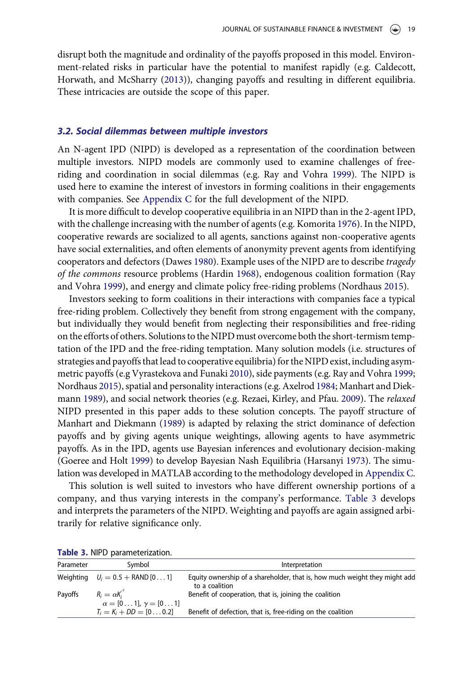<span id="page-5-0"></span>disrupt both the magnitude and ordinality of the payoffs proposed in this model. Environment-related risks in particular have the potential to manifest rapidly (e.g. Caldecott, Horwath, and McSharry [\(2013](#page-13-0))), changing payoffs and resulting in different equilibria. These intricacies are outside the scope of this paper.

#### 3.2. Social dilemmas between multiple investors

An N-agent IPD (NIPD) is developed as a representation of the coordination between multiple investors. NIPD models are commonly used to examine challenges of freeriding and coordination in social dilemmas (e.g. Ray and Vohra [1999](#page-15-0)). The NIPD is used here to examine the interest of investors in forming coalitions in their engagements with companies. See [Appendix C](#page-19-0) for the full development of the NIPD.

It is more difficult to develop cooperative equilibria in an NIPD than in the 2-agent IPD, with the challenge increasing with the number of agents (e.g. Komorita [1976](#page-14-0)). In the NIPD, cooperative rewards are socialized to all agents, sanctions against non-cooperative agents have social externalities, and often elements of anonymity prevent agents from identifying cooperators and defectors (Dawes [1980](#page-13-0)). Example uses of the NIPD are to describe tragedy of the commons resource problems (Hardin [1968\)](#page-14-0), endogenous coalition formation (Ray and Vohra [1999\)](#page-15-0), and energy and climate policy free-riding problems (Nordhaus [2015\)](#page-15-0).

Investors seeking to form coalitions in their interactions with companies face a typical free-riding problem. Collectively they benefit from strong engagement with the company, but individually they would benefit from neglecting their responsibilities and free-riding on the efforts of others. Solutions to the NIPD must overcome both the short-termism temptation of the IPD and the free-riding temptation. Many solution models (i.e. structures of strategies and payoffs that lead to cooperative equilibria) for the NIPD exist, including asymmetric payoffs (e.g Vyrastekova and Funaki [2010](#page-16-0)), side payments (e.g. Ray and Vohra [1999;](#page-15-0) Nordhaus [2015](#page-15-0)), spatial and personality interactions (e.g. Axelrod [1984;](#page-13-0) Manhart and Diekmann [1989\)](#page-15-0), and social network theories (e.g. Rezaei, Kirley, and Pfau. [2009\)](#page-15-0). The relaxed NIPD presented in this paper adds to these solution concepts. The payoff structure of Manhart and Diekmann ([1989\)](#page-15-0) is adapted by relaxing the strict dominance of defection payoffs and by giving agents unique weightings, allowing agents to have asymmetric payoffs. As in the IPD, agents use Bayesian inferences and evolutionary decision-making (Goeree and Holt [1999](#page-14-0)) to develop Bayesian Nash Equilibria (Harsanyi [1973](#page-14-0)). The simulation was developed in MATLAB according to the methodology developed in [Appendix C.](#page-19-0)

This solution is well suited to investors who have different ownership portions of a company, and thus varying interests in the company's performance. Table 3 develops and interprets the parameters of the NIPD. Weighting and payoffs are again assigned arbitrarily for relative significance only.

| Parameter | Symbol                                                             | Interpretation                                                                               |
|-----------|--------------------------------------------------------------------|----------------------------------------------------------------------------------------------|
|           | Weighting $U_i = 0.5 +$ RAND [01]                                  | Equity ownership of a shareholder, that is, how much weight they might add<br>to a coalition |
| Payoffs   | $R_i = \alpha K_i$<br>$\alpha = [0 \dots 1], \gamma = [0 \dots 1]$ | Benefit of cooperation, that is, joining the coalition                                       |
|           | $T_i = K_i + DD = [0 \dots 0.2]$                                   | Benefit of defection, that is, free-riding on the coalition                                  |

Table 3. NIPD parameterization.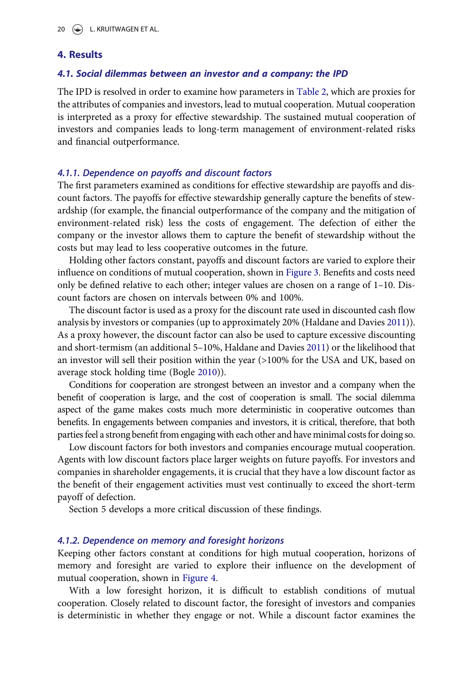### <span id="page-6-0"></span>4. Results

### 4.1. Social dilemmas between an investor and a company: the IPD

The IPD is resolved in order to examine how parameters in [Table 2](#page-4-0), which are proxies for the attributes of companies and investors, lead to mutual cooperation. Mutual cooperation is interpreted as a proxy for effective stewardship. The sustained mutual cooperation of investors and companies leads to long-term management of environment-related risks and financial outperformance.

#### 4.1.1. Dependence on payoffs and discount factors

The first parameters examined as conditions for effective stewardship are payoffs and discount factors. The payoffs for effective stewardship generally capture the benefits of stewardship (for example, the financial outperformance of the company and the mitigation of environment-related risk) less the costs of engagement. The defection of either the company or the investor allows them to capture the benefit of stewardship without the costs but may lead to less cooperative outcomes in the future.

Holding other factors constant, payoffs and discount factors are varied to explore their influence on conditions of mutual cooperation, shown in [Figure 3](#page-7-0). Benefits and costs need only be defined relative to each other; integer values are chosen on a range of 1–10. Discount factors are chosen on intervals between 0% and 100%.

The discount factor is used as a proxy for the discount rate used in discounted cash flow analysis by investors or companies (up to approximately 20% (Haldane and Davies [2011\)](#page-14-0)). As a proxy however, the discount factor can also be used to capture excessive discounting and short-termism (an additional 5–10%, Haldane and Davies [2011](#page-14-0)) or the likelihood that an investor will sell their position within the year (>100% for the USA and UK, based on average stock holding time (Bogle [2010](#page-13-0))).

Conditions for cooperation are strongest between an investor and a company when the benefit of cooperation is large, and the cost of cooperation is small. The social dilemma aspect of the game makes costs much more deterministic in cooperative outcomes than benefits. In engagements between companies and investors, it is critical, therefore, that both parties feel a strong benefit from engaging with each other and have minimal costs for doing so.

Low discount factors for both investors and companies encourage mutual cooperation. Agents with low discount factors place larger weights on future payoffs. For investors and companies in shareholder engagements, it is crucial that they have a low discount factor as the benefit of their engagement activities must vest continually to exceed the short-term payoff of defection.

Section 5 develops a more critical discussion of these findings.

#### 4.1.2. Dependence on memory and foresight horizons

Keeping other factors constant at conditions for high mutual cooperation, horizons of memory and foresight are varied to explore their influence on the development of mutual cooperation, shown in [Figure 4](#page-8-0).

With a low foresight horizon, it is difficult to establish conditions of mutual cooperation. Closely related to discount factor, the foresight of investors and companies is deterministic in whether they engage or not. While a discount factor examines the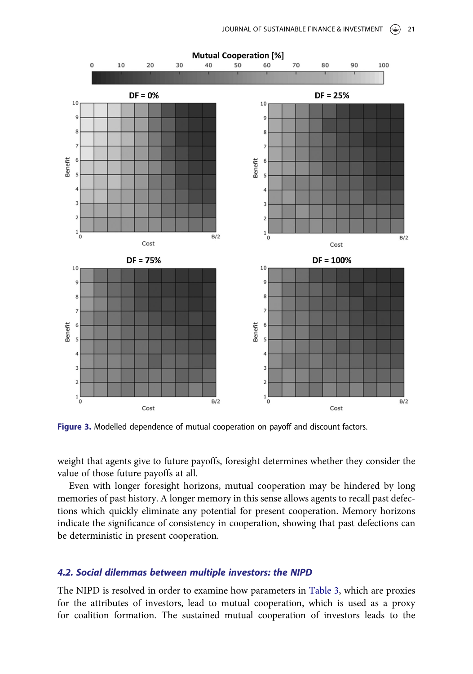<span id="page-7-0"></span>

Figure 3. Modelled dependence of mutual cooperation on payoff and discount factors.

weight that agents give to future payoffs, foresight determines whether they consider the value of those future payoffs at all.

Even with longer foresight horizons, mutual cooperation may be hindered by long memories of past history. A longer memory in this sense allows agents to recall past defections which quickly eliminate any potential for present cooperation. Memory horizons indicate the significance of consistency in cooperation, showing that past defections can be deterministic in present cooperation.

#### 4.2. Social dilemmas between multiple investors: the NIPD

The NIPD is resolved in order to examine how parameters in [Table 3,](#page-5-0) which are proxies for the attributes of investors, lead to mutual cooperation, which is used as a proxy for coalition formation. The sustained mutual cooperation of investors leads to the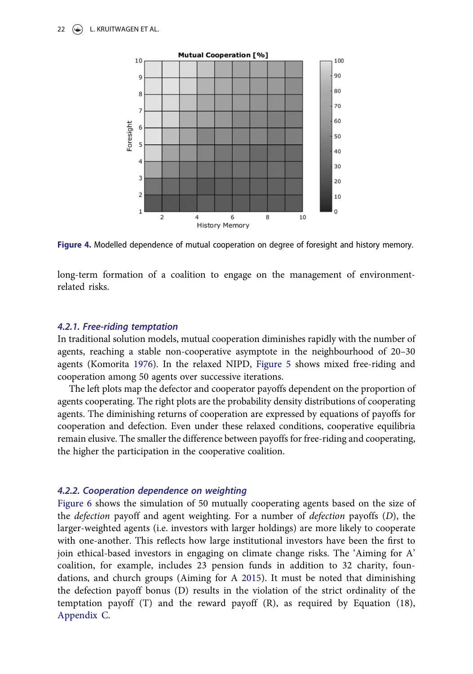<span id="page-8-0"></span>

Figure 4. Modelled dependence of mutual cooperation on degree of foresight and history memory.

long-term formation of a coalition to engage on the management of environmentrelated risks.

### 4.2.1. Free-riding temptation

In traditional solution models, mutual cooperation diminishes rapidly with the number of agents, reaching a stable non-cooperative asymptote in the neighbourhood of 20–30 agents (Komorita [1976](#page-14-0)). In the relaxed NIPD, [Figure 5](#page-9-0) shows mixed free-riding and cooperation among 50 agents over successive iterations.

The left plots map the defector and cooperator payoffs dependent on the proportion of agents cooperating. The right plots are the probability density distributions of cooperating agents. The diminishing returns of cooperation are expressed by equations of payoffs for cooperation and defection. Even under these relaxed conditions, cooperative equilibria remain elusive. The smaller the difference between payoffs for free-riding and cooperating, the higher the participation in the cooperative coalition.

### 4.2.2. Cooperation dependence on weighting

[Figure 6](#page-10-0) shows the simulation of 50 mutually cooperating agents based on the size of the defection payoff and agent weighting. For a number of defection payoffs (D), the larger-weighted agents (i.e. investors with larger holdings) are more likely to cooperate with one-another. This reflects how large institutional investors have been the first to join ethical-based investors in engaging on climate change risks. The 'Aiming for A' coalition, for example, includes 23 pension funds in addition to 32 charity, foundations, and church groups (Aiming for A [2015\)](#page-12-0). It must be noted that diminishing the defection payoff bonus (D) results in the violation of the strict ordinality of the temptation payoff (T) and the reward payoff (R), as required by Equation (18), [Appendix C.](#page-19-0)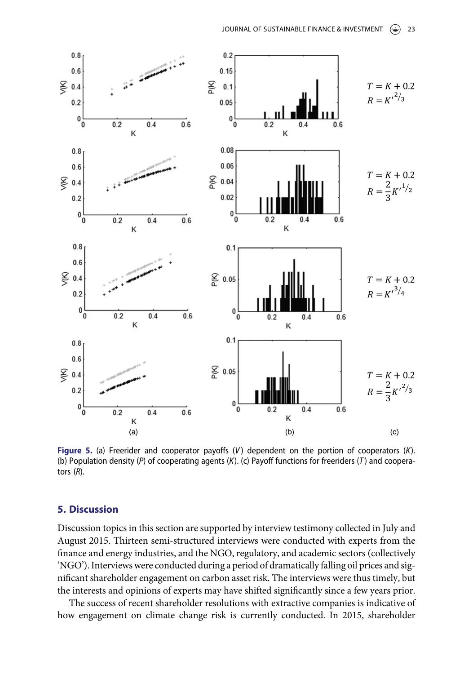<span id="page-9-0"></span>

Figure 5. (a) Freerider and cooperator payoffs  $(V)$  dependent on the portion of cooperators  $(K)$ . (b) Population density (P) of cooperating agents (K). (c) Payoff functions for freeriders (T) and cooperators (R).

### 5. Discussion

Discussion topics in this section are supported by interview testimony collected in July and August 2015. Thirteen semi-structured interviews were conducted with experts from the finance and energy industries, and the NGO, regulatory, and academic sectors (collectively 'NGO'). Interviews were conducted during a period of dramatically falling oil prices and significant shareholder engagement on carbon asset risk. The interviews were thus timely, but the interests and opinions of experts may have shifted significantly since a few years prior.

The success of recent shareholder resolutions with extractive companies is indicative of how engagement on climate change risk is currently conducted. In 2015, shareholder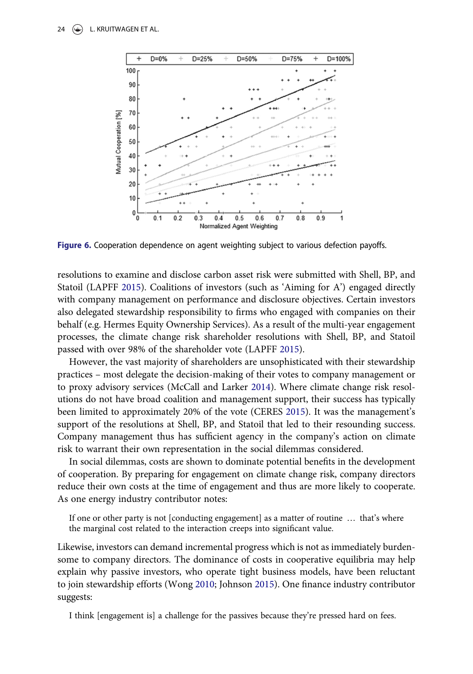

Figure 6. Cooperation dependence on agent weighting subject to various defection payoffs.

resolutions to examine and disclose carbon asset risk were submitted with Shell, BP, and Statoil (LAPFF [2015\)](#page-14-0). Coalitions of investors (such as 'Aiming for A') engaged directly with company management on performance and disclosure objectives. Certain investors also delegated stewardship responsibility to firms who engaged with companies on their behalf (e.g. Hermes Equity Ownership Services). As a result of the multi-year engagement processes, the climate change risk shareholder resolutions with Shell, BP, and Statoil passed with over 98% of the shareholder vote (LAPFF [2015\)](#page-14-0).

However, the vast majority of shareholders are unsophisticated with their stewardship practices – most delegate the decision-making of their votes to company management or to proxy advisory services (McCall and Larker [2014](#page-15-0)). Where climate change risk resolutions do not have broad coalition and management support, their success has typically been limited to approximately 20% of the vote (CERES [2015](#page-13-0)). It was the management's support of the resolutions at Shell, BP, and Statoil that led to their resounding success. Company management thus has sufficient agency in the company's action on climate risk to warrant their own representation in the social dilemmas considered.

In social dilemmas, costs are shown to dominate potential benefits in the development of cooperation. By preparing for engagement on climate change risk, company directors reduce their own costs at the time of engagement and thus are more likely to cooperate. As one energy industry contributor notes:

If one or other party is not [conducting engagement] as a matter of routine … that's where the marginal cost related to the interaction creeps into significant value.

Likewise, investors can demand incremental progress which is not as immediately burdensome to company directors. The dominance of costs in cooperative equilibria may help explain why passive investors, who operate tight business models, have been reluctant to join stewardship efforts (Wong [2010;](#page-16-0) Johnson [2015\)](#page-14-0). One finance industry contributor suggests:

I think [engagement is] a challenge for the passives because they're pressed hard on fees.

<span id="page-10-0"></span>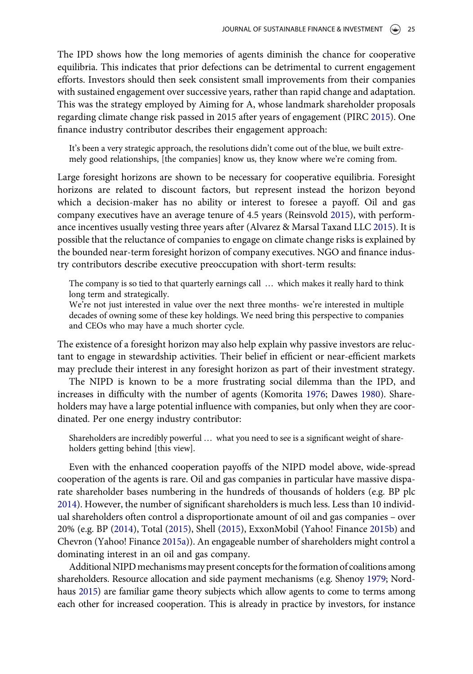<span id="page-11-0"></span>The IPD shows how the long memories of agents diminish the chance for cooperative equilibria. This indicates that prior defections can be detrimental to current engagement efforts. Investors should then seek consistent small improvements from their companies with sustained engagement over successive years, rather than rapid change and adaptation. This was the strategy employed by Aiming for A, whose landmark shareholder proposals regarding climate change risk passed in 2015 after years of engagement (PIRC [2015\)](#page-15-0). One finance industry contributor describes their engagement approach:

It's been a very strategic approach, the resolutions didn't come out of the blue, we built extremely good relationships, [the companies] know us, they know where we're coming from.

Large foresight horizons are shown to be necessary for cooperative equilibria. Foresight horizons are related to discount factors, but represent instead the horizon beyond which a decision-maker has no ability or interest to foresee a payoff. Oil and gas company executives have an average tenure of 4.5 years (Reinsvold [2015\)](#page-15-0), with performance incentives usually vesting three years after (Alvarez & Marsal Taxand LLC [2015\)](#page-13-0). It is possible that the reluctance of companies to engage on climate change risks is explained by the bounded near-term foresight horizon of company executives. NGO and finance industry contributors describe executive preoccupation with short-term results:

The company is so tied to that quarterly earnings call … which makes it really hard to think long term and strategically.

We're not just interested in value over the next three months- we're interested in multiple decades of owning some of these key holdings. We need bring this perspective to companies and CEOs who may have a much shorter cycle.

The existence of a foresight horizon may also help explain why passive investors are reluctant to engage in stewardship activities. Their belief in efficient or near-efficient markets may preclude their interest in any foresight horizon as part of their investment strategy.

The NIPD is known to be a more frustrating social dilemma than the IPD, and increases in difficulty with the number of agents (Komorita [1976;](#page-14-0) Dawes [1980\)](#page-13-0). Shareholders may have a large potential influence with companies, but only when they are coordinated. Per one energy industry contributor:

Shareholders are incredibly powerful … what you need to see is a significant weight of shareholders getting behind [this view].

Even with the enhanced cooperation payoffs of the NIPD model above, wide-spread cooperation of the agents is rare. Oil and gas companies in particular have massive disparate shareholder bases numbering in the hundreds of thousands of holders (e.g. BP plc [2014](#page-13-0)). However, the number of significant shareholders is much less. Less than 10 individual shareholders often control a disproportionate amount of oil and gas companies – over 20% (e.g. BP ([2014](#page-13-0)), Total ([2015\)](#page-16-0), Shell ([2015](#page-15-0)), ExxonMobil (Yahoo! Finance [2015b](#page-16-0)) and Chevron (Yahoo! Finance [2015a](#page-16-0))). An engageable number of shareholders might control a dominating interest in an oil and gas company.

Additional NIPD mechanisms may present concepts for the formation of coalitions among shareholders. Resource allocation and side payment mechanisms (e.g. Shenoy [1979](#page-15-0); Nordhaus [2015\)](#page-15-0) are familiar game theory subjects which allow agents to come to terms among each other for increased cooperation. This is already in practice by investors, for instance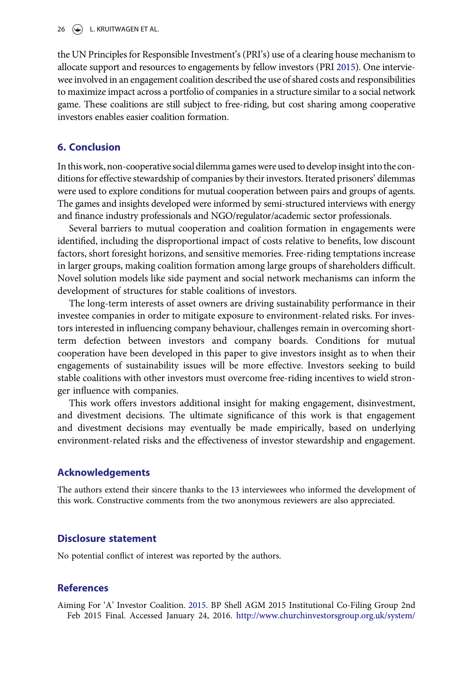<span id="page-12-0"></span>the UN Principles for Responsible Investment's (PRI's) use of a clearing house mechanism to allocate support and resources to engagements by fellow investors (PRI [2015\)](#page-15-0). One interviewee involved in an engagement coalition described the use of shared costs and responsibilities to maximize impact across a portfolio of companies in a structure similar to a social network game. These coalitions are still subject to free-riding, but cost sharing among cooperative investors enables easier coalition formation.

## 6. Conclusion

In this work, non-cooperative social dilemma games were used to develop insight into the conditions for effective stewardship of companies by their investors. Iterated prisoners' dilemmas were used to explore conditions for mutual cooperation between pairs and groups of agents. The games and insights developed were informed by semi-structured interviews with energy and finance industry professionals and NGO/regulator/academic sector professionals.

Several barriers to mutual cooperation and coalition formation in engagements were identified, including the disproportional impact of costs relative to benefits, low discount factors, short foresight horizons, and sensitive memories. Free-riding temptations increase in larger groups, making coalition formation among large groups of shareholders difficult. Novel solution models like side payment and social network mechanisms can inform the development of structures for stable coalitions of investors.

The long-term interests of asset owners are driving sustainability performance in their investee companies in order to mitigate exposure to environment-related risks. For investors interested in influencing company behaviour, challenges remain in overcoming shortterm defection between investors and company boards. Conditions for mutual cooperation have been developed in this paper to give investors insight as to when their engagements of sustainability issues will be more effective. Investors seeking to build stable coalitions with other investors must overcome free-riding incentives to wield stronger influence with companies.

This work offers investors additional insight for making engagement, disinvestment, and divestment decisions. The ultimate significance of this work is that engagement and divestment decisions may eventually be made empirically, based on underlying environment-related risks and the effectiveness of investor stewardship and engagement.

### Acknowledgements

The authors extend their sincere thanks to the 13 interviewees who informed the development of this work. Constructive comments from the two anonymous reviewers are also appreciated.

### Disclosure statement

No potential conflict of interest was reported by the authors.

### References

Aiming For 'A' Investor Coalition. [2015.](#page-8-0) BP Shell AGM 2015 Institutional Co-Filing Group 2nd Feb 2015 Final. Accessed January 24, 2016. [http://www.churchinvestorsgroup.org.uk/system/](http://www.churchinvestorsgroup.org.uk/system/files/documents/James%20Corah/BP%20Shell%20AGM%202015%20Institutional%20Co-filing%20Group%202nd%20Feb%202015%20Final.pdf)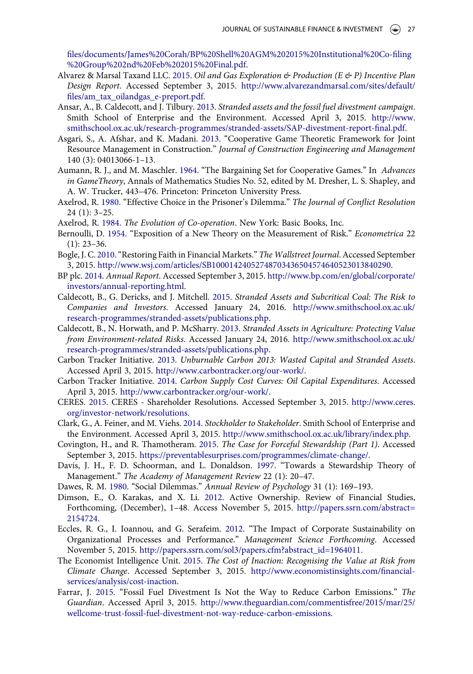<span id="page-13-0"></span>fi[les/documents/James%20Corah/BP%20Shell%20AGM%202015%20Institutional%20Co-](http://www.churchinvestorsgroup.org.uk/system/files/documents/James%20Corah/BP%20Shell%20AGM%202015%20Institutional%20Co-filing%20Group%202nd%20Feb%202015%20Final.pdf)filing [%20Group%202nd%20Feb%202015%20Final.pdf.](http://www.churchinvestorsgroup.org.uk/system/files/documents/James%20Corah/BP%20Shell%20AGM%202015%20Institutional%20Co-filing%20Group%202nd%20Feb%202015%20Final.pdf)

- Alvarez & Marsal Taxand LLC. [2015](#page-11-0). Oil and Gas Exploration & Production (E & P) Incentive Plan Design Report. Accessed September 3, 2015. [http://www.alvarezandmarsal.com/sites/default/](http://www.alvarezandmarsal.com/sites/default/files/am_tax_oilandgas_e-preport.pdf) fi[les/am\\_tax\\_oilandgas\\_e-preport.pdf](http://www.alvarezandmarsal.com/sites/default/files/am_tax_oilandgas_e-preport.pdf).
- Ansar, A., B. Caldecott, and J. Tilbury. [2013.](#page-1-0) Stranded assets and the fossil fuel divestment campaign. Smith School of Enterprise and the Environment. Accessed April 3, 2015. [http://www.](http://www.smithschool.ox.ac.uk/research-programmes/stranded-assets/SAP-divestment-report-final.pdf) [smithschool.ox.ac.uk/research-programmes/stranded-assets/SAP-divestment-report-](http://www.smithschool.ox.ac.uk/research-programmes/stranded-assets/SAP-divestment-report-final.pdf)final.pdf.
- Asgari, S., A. Afshar, and K. Madani. [2013](#page-2-0). "Cooperative Game Theoretic Framework for Joint Resource Management in Construction." Journal of Construction Engineering and Management 140 (3): 04013066-1–13.
- Aumann, R. J., and M. Maschler. [1964](#page-4-0). "The Bargaining Set for Cooperative Games." In Advances in GameTheory, Annals of Mathematics Studies No. 52, edited by M. Dresher, L. S. Shapley, and A. W. Trucker, 443–476. Princeton: Princeton University Press.
- Axelrod, R. [1980.](#page-2-0) "Effective Choice in the Prisoner's Dilemma." The Journal of Conflict Resolution 24 (1): 3–25.
- Axelrod, R. [1984](#page-2-0). The Evolution of Co-operation. New York: Basic Books, Inc.
- Bernoulli, D. [1954](#page-2-0). "Exposition of a New Theory on the Measurement of Risk." Econometrica 22 (1): 23–36.
- Bogle, J. C. [2010.](#page-6-0)"Restoring Faith in Financial Markets." The Wallstreet Journal. Accessed September 3, 2015. [http://www.wsj.com/articles/SB10001424052748703436504574640523013840290.](http://www.wsj.com/articles/SB10001424052748703436504574640523013840290)
- BP plc. [2014](#page-11-0). Annual Report. Accessed September 3, 2015. [http://www.bp.com/en/global/corporate/](http://www.bp.com/en/global/corporate/investors/annual-reporting.html) [investors/annual-reporting.html](http://www.bp.com/en/global/corporate/investors/annual-reporting.html).
- Caldecott, B., G. Dericks, and J. Mitchell. [2015](#page-0-0). Stranded Assets and Subcritical Coal: The Risk to Companies and Investors. Accessed January 24, 2016. [http://www.smithschool.ox.ac.uk/](http://www.smithschool.ox.ac.uk/research-programmes/stranded-assets/publications.php) [research-programmes/stranded-assets/publications.php](http://www.smithschool.ox.ac.uk/research-programmes/stranded-assets/publications.php).
- Caldecott, B., N. Horwath, and P. McSharry. [2013.](#page-0-0) Stranded Assets in Agriculture: Protecting Value from Environment-related Risks. Accessed January 24, 2016. [http://www.smithschool.ox.ac.uk/](http://www.smithschool.ox.ac.uk/research-programmes/stranded-assets/publications.php) [research-programmes/stranded-assets/publications.php](http://www.smithschool.ox.ac.uk/research-programmes/stranded-assets/publications.php).
- Carbon Tracker Initiative. [2013](#page-0-0). Unburnable Carbon 2013: Wasted Capital and Stranded Assets. Accessed April 3, 2015. <http://www.carbontracker.org/our-work/>.
- Carbon Tracker Initiative. [2014.](#page-0-0) Carbon Supply Cost Curves: Oil Capital Expenditures. Accessed April 3, 2015. <http://www.carbontracker.org/our-work/>.
- CERES. [2015.](#page-10-0) CERES Shareholder Resolutions. Accessed September 3, 2015. [http://www.ceres.](http://www.ceres.org/investor-network/resolutions) [org/investor-network/resolutions.](http://www.ceres.org/investor-network/resolutions)
- Clark, G., A. Feiner, and M. Viehs. [2014.](#page-1-0) Stockholder to Stakeholder. Smith School of Enterprise and the Environment. Accessed April 3, 2015. <http://www.smithschool.ox.ac.uk/library/index.php>.
- Covington, H., and R. Thamotheram. [2015](#page-0-0). The Case for Forceful Stewardship (Part 1). Accessed September 3, 2015. <https://preventablesurprises.com/programmes/climate-change/>.
- Davis, J. H., F. D. Schoorman, and L. Donaldson. [1997](#page-1-0). "Towards a Stewardship Theory of Management." The Academy of Management Review 22 (1): 20–47.
- Dawes, R. M. [1980](#page-3-0). "Social Dilemmas." Annual Review of Psychology 31 (1): 169–193.
- Dimson, E., O. Karakas, and X. Li. [2012.](#page-3-0) Active Ownership. Review of Financial Studies, Forthcoming, (December), 1–48. Access November 5, 2015. [http://papers.ssrn.com/abstract=](http://papers.ssrn.com/abstract=2154724) [2154724.](http://papers.ssrn.com/abstract=2154724)
- Eccles, R. G., I. Ioannou, and G. Serafeim. [2012](#page-3-0). "The Impact of Corporate Sustainability on Organizational Processes and Performance." Management Science Forthcoming. Accessed November 5, 2015. [http://papers.ssrn.com/sol3/papers.cfm?abstract\\_id=1964011](http://papers.ssrn.com/sol3/papers.cfm?abstract_id=1964011).
- The Economist Intelligence Unit. [2015.](#page-0-0) The Cost of Inaction: Recognising the Value at Risk from Climate Change. Accessed September 3, 2015. [http://www.economistinsights.com/](http://www.economistinsights.com/financial-services/analysis/cost-inaction)financial[services/analysis/cost-inaction](http://www.economistinsights.com/financial-services/analysis/cost-inaction).
- Farrar, J. [2015](#page-1-0). "Fossil Fuel Divestment Is Not the Way to Reduce Carbon Emissions." The Guardian. Accessed April 3, 2015. [http://www.theguardian.com/commentisfree/2015/mar/25/](http://www.theguardian.com/commentisfree/2015/mar/25/wellcome-trust-fossil-fuel-divestment-not-way-reduce-carbon-emissions) [wellcome-trust-fossil-fuel-divestment-not-way-reduce-carbon-emissions](http://www.theguardian.com/commentisfree/2015/mar/25/wellcome-trust-fossil-fuel-divestment-not-way-reduce-carbon-emissions).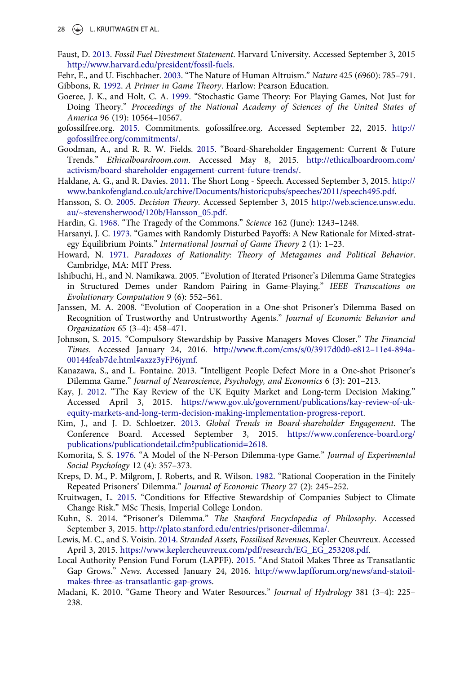- <span id="page-14-0"></span>Faust, D. [2013.](#page-1-0) Fossil Fuel Divestment Statement. Harvard University. Accessed September 3, 2015 [http://www.harvard.edu/president/fossil-fuels.](http://www.harvard.edu/president/fossil-fuels)
- Fehr, E., and U. Fischbacher. [2003.](#page-4-0) "The Nature of Human Altruism." Nature 425 (6960): 785–791.

Gibbons, R. [1992](#page-3-0). A Primer in Game Theory. Harlow: Pearson Education.

- Goeree, J. K., and Holt, C. A. [1999](#page-4-0). "Stochastic Game Theory: For Playing Games, Not Just for Doing Theory." Proceedings of the National Academy of Sciences of the United States of America 96 (19): 10564–10567.
- gofossilfree.org. [2015](#page-1-0). Commitments. gofossilfree.org. Accessed September 22, 2015. [http://](http://gofossilfree.org/commitments/) [gofossilfree.org/commitments/](http://gofossilfree.org/commitments/).
- Goodman, A., and R. R. W. Fields. [2015.](#page-1-0) "Board-Shareholder Engagement: Current & Future Trends." Ethicalboardroom.com. Accessed May 8, 2015. [http://ethicalboardroom.com/](http://ethicalboardroom.com/activism/board-shareholder-engagement-current-future-trends/) [activism/board-shareholder-engagement-current-future-trends/.](http://ethicalboardroom.com/activism/board-shareholder-engagement-current-future-trends/)
- Haldane, A. G., and R. Davies. [2011.](#page-6-0) The Short Long Speech. Accessed September 3, 2015. [http://](http://www.bankofengland.co.uk/archive/Documents/historicpubs/speeches/2011/speech495.pdf) [www.bankofengland.co.uk/archive/Documents/historicpubs/speeches/2011/speech495.pdf.](http://www.bankofengland.co.uk/archive/Documents/historicpubs/speeches/2011/speech495.pdf)
- Hansson, S. O. [2005.](#page-2-0) Decision Theory. Accessed September 3, 2015 [http://web.science.unsw.edu.](http://web.science.unsw.edu.au/~stevensherwood/120b/Hansson_05.pdf) [au/~stevensherwood/120b/Hansson\\_05.pdf.](http://web.science.unsw.edu.au/~stevensherwood/120b/Hansson_05.pdf)
- Hardin, G. [1968](#page-5-0). "The Tragedy of the Commons." Science 162 (June): 1243–1248.
- Harsanyi, J. C. [1973](#page-4-0). "Games with Randomly Disturbed Payoffs: A New Rationale for Mixed-strategy Equilibrium Points." International Journal of Game Theory 2 (1): 1–23.
- Howard, N. [1971](#page-2-0). Paradoxes of Rationality: Theory of Metagames and Political Behavior. Cambridge, MA: MIT Press.
- Ishibuchi, H., and N. Namikawa. 2005. "Evolution of Iterated Prisoner's Dilemma Game Strategies in Structured Demes under Random Pairing in Game-Playing." IEEE Transcations on Evolutionary Computation 9 (6): 552–561.
- Janssen, M. A. 2008. "Evolution of Cooperation in a One-shot Prisoner's Dilemma Based on Recognition of Trustworthy and Untrustworthy Agents." Journal of Economic Behavior and Organization 65 (3–4): 458–471.
- Johnson, S. [2015](#page-10-0). "Compulsory Stewardship by Passive Managers Moves Closer." The Financial Times. Accessed January 24, 2016. [http://www.ft.com/cms/s/0/3917d0d0-e812](http://www.ft.com/cms/s/0/3917d0d0-e812–11e4-894a-00144feab7de.html#axzz3yFP6jymf)–11e4-894a-[00144feab7de.html#axzz3yFP6jymf](http://www.ft.com/cms/s/0/3917d0d0-e812–11e4-894a-00144feab7de.html#axzz3yFP6jymf).
- Kanazawa, S., and L. Fontaine. 2013. "Intelligent People Defect More in a One-shot Prisoner's Dilemma Game." Journal of Neuroscience, Psychology, and Economics 6 (3): 201–213.
- Kay, J. [2012](#page-0-0). "The Kay Review of the UK Equity Market and Long-term Decision Making." Accessed April 3, 2015. [https://www.gov.uk/government/publications/kay-review-of-uk](https://www.gov.uk/government/publications/kay-review-of-uk-equity-markets-and-long-term-decision-making-implementation-progress-report)[equity-markets-and-long-term-decision-making-implementation-progress-report.](https://www.gov.uk/government/publications/kay-review-of-uk-equity-markets-and-long-term-decision-making-implementation-progress-report)
- Kim, J., and J. D. Schloetzer. [2013](#page-1-0). Global Trends in Board-shareholder Engagement. The Conference Board. Accessed September 3, 2015. [https://www.conference-board.org/](https://www.conference-board.org/publications/publicationdetail.cfm?publicationid=2618) [publications/publicationdetail.cfm?publicationid=2618](https://www.conference-board.org/publications/publicationdetail.cfm?publicationid=2618).
- Komorita, S. S. [1976.](#page-5-0) "A Model of the N-Person Dilemma-type Game." Journal of Experimental Social Psychology 12 (4): 357–373.
- Kreps, D. M., P. Milgrom, J. Roberts, and R. Wilson. [1982](#page-4-0). "Rational Cooperation in the Finitely Repeated Prisoners' Dilemma." Journal of Economic Theory 27 (2): 245–252.
- Kruitwagen, L. [2015](#page-4-0). "Conditions for Effective Stewardship of Companies Subject to Climate Change Risk." MSc Thesis, Imperial College London.
- Kuhn, S. 2014. "Prisoner's Dilemma." The Stanford Encyclopedia of Philosophy. Accessed September 3, 2015. <http://plato.stanford.edu/entries/prisoner-dilemma/>.
- Lewis, M. C., and S. Voisin. [2014.](#page-0-0) Stranded Assets, Fossilised Revenues, Kepler Cheuvreux. Accessed April 3, 2015. [https://www.keplercheuvreux.com/pdf/research/EG\\_EG\\_253208.pdf](https://www.keplercheuvreux.com/pdf/research/EG_EG_253208.pdf).
- Local Authority Pension Fund Forum (LAPFF). [2015.](#page-10-0) "And Statoil Makes Three as Transatlantic Gap Grows." News. Accessed January 24, 2016. [http://www.lapfforum.org/news/and-statoil](http://www.lapfforum.org/news/and-statoil-makes-three-as-transatlantic-gap-grows)[makes-three-as-transatlantic-gap-grows.](http://www.lapfforum.org/news/and-statoil-makes-three-as-transatlantic-gap-grows)
- Madani, K. 2010. "Game Theory and Water Resources." Journal of Hydrology 381 (3–4): 225– 238.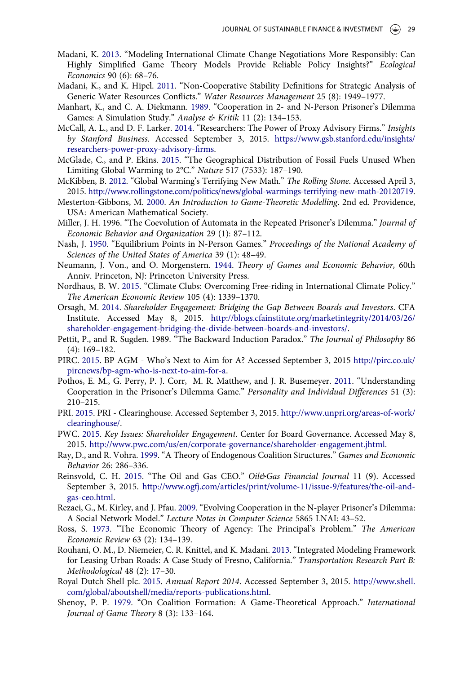- <span id="page-15-0"></span>Madani, K. [2013](#page-2-0). "Modeling International Climate Change Negotiations More Responsibly: Can Highly Simplified Game Theory Models Provide Reliable Policy Insights?" Ecological Economics 90 (6): 68–76.
- Madani, K., and K. Hipel. [2011](#page-2-0). "Non-Cooperative Stability Definitions for Strategic Analysis of Generic Water Resources Conflicts." Water Resources Management 25 (8): 1949–1977.
- Manhart, K., and C. A. Diekmann. [1989](#page-5-0). "Cooperation in 2- and N-Person Prisoner's Dilemma Games: A Simulation Study." Analyse & Kritik 11 (2): 134-153.
- McCall, A. L., and D. F. Larker. [2014](#page-10-0). "Researchers: The Power of Proxy Advisory Firms." Insights by Stanford Business. Accessed September 3, 2015. [https://www.gsb.stanford.edu/insights/](https://www.gsb.stanford.edu/insights/researchers-power-proxy-advisory-firms) [researchers-power-proxy-advisory-](https://www.gsb.stanford.edu/insights/researchers-power-proxy-advisory-firms)firms.
- McGlade, C., and P. Ekins. [2015.](#page-0-0) "The Geographical Distribution of Fossil Fuels Unused When Limiting Global Warming to 2°C." Nature 517 (7533): 187-190.
- McKibben, B. [2012.](#page-1-0) "Global Warming's Terrifying New Math." The Rolling Stone. Accessed April 3, 2015. <http://www.rollingstone.com/politics/news/global-warmings-terrifying-new-math-20120719>.
- Mesterton-Gibbons, M. [2000](#page-2-0). An Introduction to Game-Theoretic Modelling. 2nd ed. Providence, USA: American Mathematical Society.
- Miller, J. H. 1996. "The Coevolution of Automata in the Repeated Prisoner's Dilemma." Journal of Economic Behavior and Organization 29 (1): 87–112.
- Nash, J. [1950](#page-2-0). "Equilibrium Points in N-Person Games." Proceedings of the National Academy of Sciences of the United States of America 39 (1): 48–49.
- Neumann, J. Von., and O. Morgenstern. [1944.](#page-2-0) Theory of Games and Economic Behavior, 60th Anniv. Princeton, NJ: Princeton University Press.
- Nordhaus, B. W. [2015](#page-5-0). "Climate Clubs: Overcoming Free-riding in International Climate Policy." The American Economic Review 105 (4): 1339–1370.
- Orsagh, M. [2014](#page-1-0). Shareholder Engagement: Bridging the Gap Between Boards and Investors. CFA Institute. Accessed May 8, 2015. [http://blogs.cfainstitute.org/marketintegrity/2014/03/26/](http://blogs.cfainstitute.org/marketintegrity/2014/03/26/shareholder-engagement-bridging-the-divide-between-boards-and-investors/) [shareholder-engagement-bridging-the-divide-between-boards-and-investors/](http://blogs.cfainstitute.org/marketintegrity/2014/03/26/shareholder-engagement-bridging-the-divide-between-boards-and-investors/).
- Pettit, P., and R. Sugden. 1989. "The Backward Induction Paradox." The Journal of Philosophy 86 (4): 169–182.
- PIRC. [2015.](#page-11-0) BP AGM Who's Next to Aim for A? Accessed September 3, 2015 [http://pirc.co.uk/](http://pirc.co.uk/pircnews/bp-agm-who-is-next-to-aim-for-a) [pircnews/bp-agm-who-is-next-to-aim-for-a.](http://pirc.co.uk/pircnews/bp-agm-who-is-next-to-aim-for-a)
- Pothos, E. M., G. Perry, P. J. Corr, M. R. Matthew, and J. R. Busemeyer. [2011](#page-4-0). "Understanding Cooperation in the Prisoner's Dilemma Game." Personality and Individual Differences 51 (3): 210–215.
- PRI. [2015](#page-12-0). PRI Clearinghouse. Accessed September 3, 2015. [http://www.unpri.org/areas-of-work/](http://www.unpri.org/areas-of-work/clearinghouse/) [clearinghouse/](http://www.unpri.org/areas-of-work/clearinghouse/).
- PWC. [2015.](#page-1-0) Key Issues: Shareholder Engagement. Center for Board Governance. Accessed May 8, 2015. [http://www.pwc.com/us/en/corporate-governance/shareholder-engagement.jhtml.](http://www.pwc.com/us/en/corporate-governance/shareholder-engagement.jhtml)
- Ray, D., and R. Vohra. [1999](#page-5-0). "A Theory of Endogenous Coalition Structures." Games and Economic Behavior 26: 286–336.
- Reinsvold, C. H. [2015](#page-11-0). "The Oil and Gas CEO." Oil&Gas Financial Journal 11 (9). Accessed September 3, 2015. [http://www.ogfj.com/articles/print/volume-11/issue-9/features/the-oil-and](http://www.ogfj.com/articles/print/volume-11/issue-9/features/the-oil-and-gas-ceo.html)[gas-ceo.html](http://www.ogfj.com/articles/print/volume-11/issue-9/features/the-oil-and-gas-ceo.html).
- Rezaei, G., M. Kirley, and J. Pfau. [2009](#page-5-0). "Evolving Cooperation in the N-player Prisoner's Dilemma: A Social Network Model." Lecture Notes in Computer Science 5865 LNAI: 43–52.
- Ross, S. [1973](#page-1-0). "The Economic Theory of Agency: The Principal's Problem." The American Economic Review 63 (2): 134–139.
- Rouhani, O. M., D. Niemeier, C. R. Knittel, and K. Madani. [2013](#page-2-0). "Integrated Modeling Framework for Leasing Urban Roads: A Case Study of Fresno, California." Transportation Research Part B: Methodological 48 (2): 17–30.
- Royal Dutch Shell plc. [2015](#page-11-0). Annual Report 2014. Accessed September 3, 2015. [http://www.shell.](http://www.shell.com/global/aboutshell/media/reports-publications.html) [com/global/aboutshell/media/reports-publications.html](http://www.shell.com/global/aboutshell/media/reports-publications.html).
- Shenoy, P. P. [1979.](#page-11-0) "On Coalition Formation: A Game-Theoretical Approach." International Journal of Game Theory 8 (3): 133–164.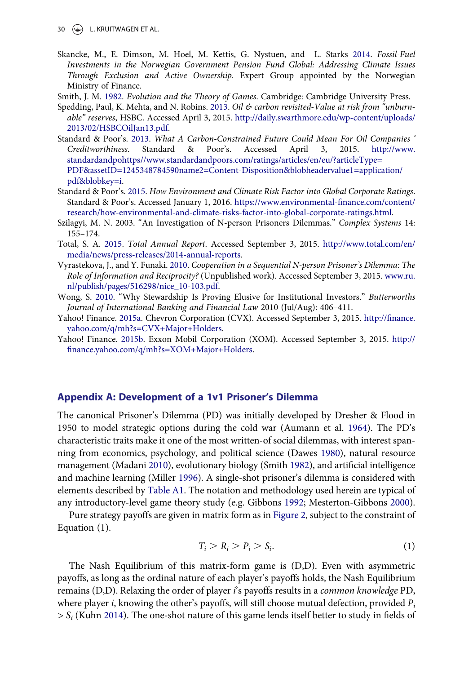<span id="page-16-0"></span>30 L. KRUITWAGEN ET AL.

- Skancke, M., E. Dimson, M. Hoel, M. Kettis, G. Nystuen, and L. Starks [2014](#page-1-0). Fossil-Fuel Investments in the Norwegian Government Pension Fund Global: Addressing Climate Issues Through Exclusion and Active Ownership. Expert Group appointed by the Norwegian Ministry of Finance.
- Smith, J. M. [1982](#page-2-0). Evolution and the Theory of Games. Cambridge: Cambridge University Press.
- Spedding, Paul, K. Mehta, and N. Robins. [2013.](#page-0-0) Oil  $\phi$  carbon revisited-Value at risk from "unburnable" reserves, HSBC. Accessed April 3, 2015. [http://daily.swarthmore.edu/wp-content/uploads/](http://daily.swarthmore.edu/wp-content/uploads/2013/02/HSBCOilJan13.pdf) [2013/02/HSBCOilJan13.pdf](http://daily.swarthmore.edu/wp-content/uploads/2013/02/HSBCOilJan13.pdf).
- Standard & Poor's. [2013](#page-0-0). What A Carbon-Constrained Future Could Mean For Oil Companies ' Creditworthiness. Standard & Poor's. Accessed April 3, 2015. [http://www.](http://www.standardandpohttps//www.standardandpoors.com/ratings/articles/en/eu/?articleType=PDF&assetID=1245348784590name2=Content-Disposition&blobheadervalue1=application/pdf&blobkey=i) [standardandpohttps//www.standardandpoors.com/ratings/articles/en/eu/?articleType=](http://www.standardandpohttps//www.standardandpoors.com/ratings/articles/en/eu/?articleType=PDF&assetID=1245348784590name2=Content-Disposition&blobheadervalue1=application/pdf&blobkey=i) [PDF&assetID=1245348784590name2=Content-Disposition&blobheadervalue1=application/](http://www.standardandpohttps//www.standardandpoors.com/ratings/articles/en/eu/?articleType=PDF&assetID=1245348784590name2=Content-Disposition&blobheadervalue1=application/pdf&blobkey=i) [pdf&blobkey=i](http://www.standardandpohttps//www.standardandpoors.com/ratings/articles/en/eu/?articleType=PDF&assetID=1245348784590name2=Content-Disposition&blobheadervalue1=application/pdf&blobkey=i).
- Standard & Poor's. [2015.](#page-0-0) How Environment and Climate Risk Factor into Global Corporate Ratings. Standard & Poor's. Accessed January 1, 2016. [https://www.environmental-](https://www.environmental-finance.com/content/research/how-environmental-and-climate-risks-factor-into-global-corporate-ratings.html)finance.com/content/ [research/how-environmental-and-climate-risks-factor-into-global-corporate-ratings.html.](https://www.environmental-finance.com/content/research/how-environmental-and-climate-risks-factor-into-global-corporate-ratings.html)
- Szilagyi, M. N. 2003. "An Investigation of N-person Prisoners Dilemmas." Complex Systems 14: 155–174.
- Total, S. A. [2015](#page-11-0). Total Annual Report. Accessed September 3, 2015. [http://www.total.com/en/](http://www.total.com/en/media/news/press-releases/2014-annual-reports) [media/news/press-releases/2014-annual-reports](http://www.total.com/en/media/news/press-releases/2014-annual-reports).
- Vyrastekova, J., and Y. Funaki. [2010](#page-5-0). Cooperation in a Sequential N-person Prisoner's Dilemma: The Role of Information and Reciprocity? (Unpublished work). Accessed September 3, 2015. [www.ru.](http://www.ru.nl/publish/pages/516298/nice_10-103.pdf) [nl/publish/pages/516298/nice\\_10-103.pdf](http://www.ru.nl/publish/pages/516298/nice_10-103.pdf).
- Wong, S. [2010.](#page-4-0) "Why Stewardship Is Proving Elusive for Institutional Investors." Butterworths Journal of International Banking and Financial Law 2010 (Jul/Aug): 406–411.
- Yahoo! Finance. [2015a.](#page-11-0) Chevron Corporation (CVX). Accessed September 3, 2015. http://fi[nance.](http://finance.yahoo.com/q/mh?s=CVX+Major+Holders) [yahoo.com/q/mh?s=CVX+Major+Holders](http://finance.yahoo.com/q/mh?s=CVX+Major+Holders).
- Yahoo! Finance. [2015b](#page-11-0). Exxon Mobil Corporation (XOM). Accessed September 3, 2015. [http://](http://finance.yahoo.com/q/mh?s=XOM+Major+Holders) fi[nance.yahoo.com/q/mh?s=XOM+Major+Holders](http://finance.yahoo.com/q/mh?s=XOM+Major+Holders).

### Appendix A: Development of a 1v1 Prisoner's Dilemma

The canonical Prisoner's Dilemma (PD) was initially developed by Dresher & Flood in 1950 to model strategic options during the cold war (Aumann et al. [1964\)](#page-13-0). The PD's characteristic traits make it one of the most written-of social dilemmas, with interest spanning from economics, psychology, and political science (Dawes [1980\)](#page-13-0), natural resource management (Madani [2010](#page-14-0)), evolutionary biology (Smith 1982), and artificial intelligence and machine learning (Miller [1996](#page-15-0)). A single-shot prisoner's dilemma is considered with elements described by [Table A1.](#page-22-0) The notation and methodology used herein are typical of any introductory-level game theory study (e.g. Gibbons [1992;](#page-14-0) Mesterton-Gibbons [2000](#page-15-0)).

Pure strategy payoffs are given in matrix form as in [Figure 2,](#page-3-0) subject to the constraint of Equation (1).

$$
T_i > R_i > P_i > S_i. \tag{1}
$$

The Nash Equilibrium of this matrix-form game is (D,D). Even with asymmetric payoffs, as long as the ordinal nature of each player's payoffs holds, the Nash Equilibrium remains (D,D). Relaxing the order of player i's payoffs results in a common knowledge PD, where player *i*, knowing the other's payoffs, will still choose mutual defection, provided  $P_i$  $> S<sub>i</sub>$  (Kuhn [2014\)](#page-14-0). The one-shot nature of this game lends itself better to study in fields of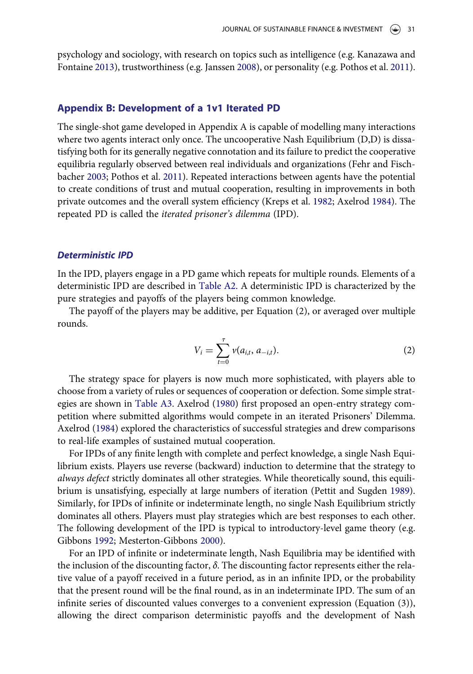<span id="page-17-0"></span>psychology and sociology, with research on topics such as intelligence (e.g. Kanazawa and Fontaine [2013](#page-14-0)), trustworthiness (e.g. Janssen [2008](#page-14-0)), or personality (e.g. Pothos et al. [2011](#page-15-0)).

### Appendix B: Development of a 1v1 Iterated PD

The single-shot game developed in Appendix A is capable of modelling many interactions where two agents interact only once. The uncooperative Nash Equilibrium (D,D) is dissatisfying both for its generally negative connotation and its failure to predict the cooperative equilibria regularly observed between real individuals and organizations (Fehr and Fischbacher [2003;](#page-14-0) Pothos et al. [2011](#page-15-0)). Repeated interactions between agents have the potential to create conditions of trust and mutual cooperation, resulting in improvements in both private outcomes and the overall system efficiency (Kreps et al. [1982;](#page-14-0) Axelrod [1984](#page-13-0)). The repeated PD is called the iterated prisoner's dilemma (IPD).

#### Deterministic IPD

In the IPD, players engage in a PD game which repeats for multiple rounds. Elements of a deterministic IPD are described in [Table A2.](#page-22-0) A deterministic IPD is characterized by the pure strategies and payoffs of the players being common knowledge.

The payoff of the players may be additive, per Equation (2), or averaged over multiple rounds.

$$
V_i = \sum_{t=0}^{\tau} \nu(a_{i,t}, a_{-i,t}).
$$
 (2)

The strategy space for players is now much more sophisticated, with players able to choose from a variety of rules or sequences of cooperation or defection. Some simple strategies are shown in [Table A3](#page-22-0). Axelrod [\(1980](#page-13-0)) first proposed an open-entry strategy competition where submitted algorithms would compete in an iterated Prisoners' Dilemma. Axelrod ([1984\)](#page-13-0) explored the characteristics of successful strategies and drew comparisons to real-life examples of sustained mutual cooperation.

For IPDs of any finite length with complete and perfect knowledge, a single Nash Equilibrium exists. Players use reverse (backward) induction to determine that the strategy to always defect strictly dominates all other strategies. While theoretically sound, this equilibrium is unsatisfying, especially at large numbers of iteration (Pettit and Sugden [1989](#page-15-0)). Similarly, for IPDs of infinite or indeterminate length, no single Nash Equilibrium strictly dominates all others. Players must play strategies which are best responses to each other. The following development of the IPD is typical to introductory-level game theory (e.g. Gibbons [1992;](#page-14-0) Mesterton-Gibbons [2000](#page-15-0)).

For an IPD of infinite or indeterminate length, Nash Equilibria may be identified with the inclusion of the discounting factor,  $\delta$ . The discounting factor represents either the relative value of a payoff received in a future period, as in an infinite IPD, or the probability that the present round will be the final round, as in an indeterminate IPD. The sum of an infinite series of discounted values converges to a convenient expression (Equation (3)), allowing the direct comparison deterministic payoffs and the development of Nash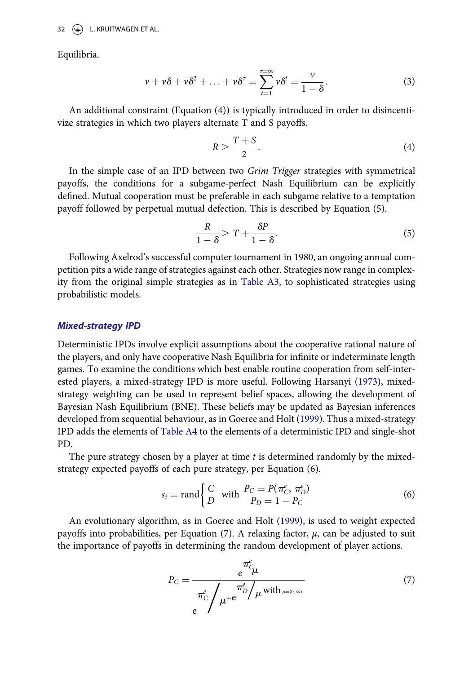Equilibria.

$$
\nu + \nu \delta + \nu \delta^2 + \ldots + \nu \delta^{\tau} = \sum_{t=1}^{\tau=\infty} \nu \delta^t = \frac{\nu}{1-\delta}.
$$
 (3)

An additional constraint (Equation (4)) is typically introduced in order to disincentivize strategies in which two players alternate T and S payoffs.

$$
R > \frac{T + S}{2}.\tag{4}
$$

In the simple case of an IPD between two Grim Trigger strategies with symmetrical payoffs, the conditions for a subgame-perfect Nash Equilibrium can be explicitly defined. Mutual cooperation must be preferable in each subgame relative to a temptation payoff followed by perpetual mutual defection. This is described by Equation (5).

$$
\frac{R}{1-\delta} > T + \frac{\delta P}{1-\delta}.\tag{5}
$$

Following Axelrod's successful computer tournament in 1980, an ongoing annual competition pits a wide range of strategies against each other. Strategies now range in complexity from the original simple strategies as in [Table A3,](#page-22-0) to sophisticated strategies using probabilistic models.

### Mixed-strategy IPD

Deterministic IPDs involve explicit assumptions about the cooperative rational nature of the players, and only have cooperative Nash Equilibria for infinite or indeterminate length games. To examine the conditions which best enable routine cooperation from self-interested players, a mixed-strategy IPD is more useful. Following Harsanyi ([1973\)](#page-14-0), mixedstrategy weighting can be used to represent belief spaces, allowing the development of Bayesian Nash Equilibrium (BNE). These beliefs may be updated as Bayesian inferences developed from sequential behaviour, as in Goeree and Holt ([1999\)](#page-14-0). Thus a mixed-strategy IPD adds the elements of [Table A4](#page-22-0) to the elements of a deterministic IPD and single-shot PD.

The pure strategy chosen by a player at time  $t$  is determined randomly by the mixedstrategy expected payoffs of each pure strategy, per Equation (6).

$$
s_i = \text{rand}\begin{cases} C & \text{with} \quad P_C = P(\pi_C^e, \pi_D^e) \\ D & P_D = 1 - P_C \end{cases} \tag{6}
$$

An evolutionary algorithm, as in Goeree and Holt [\(1999](#page-14-0)), is used to weight expected payoffs into probabilities, per Equation (7). A relaxing factor,  $\mu$ , can be adjusted to suit the importance of payoffs in determining the random development of player actions.

$$
P_C = \frac{e^{\pi \epsilon} \mu}{\pi_C^{\epsilon} / \mu + e^{\pi \epsilon} / \mu \text{ with } \mu = (0, \infty)} \tag{7}
$$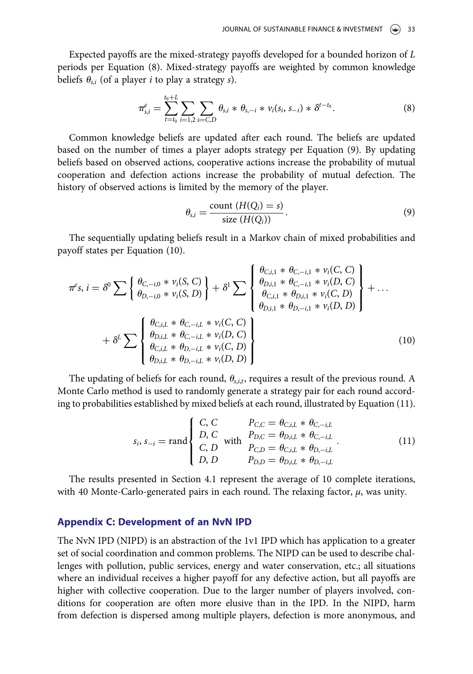<span id="page-19-0"></span>Expected payoffs are the mixed-strategy payoffs developed for a bounded horizon of L periods per Equation (8). Mixed-strategy payoffs are weighted by common knowledge beliefs  $\theta_{s,i}$  (of a player *i* to play a strategy *s*).

$$
\pi_{s,i}^e = \sum_{t=t_0}^{t_0+L} \sum_{i=1,2} \sum_{s=C,D} \theta_{s,i} * \theta_{s,-i} * \nu_i(s_i, s_{-i}) * \delta^{t-t_0}.
$$
 (8)

Common knowledge beliefs are updated after each round. The beliefs are updated based on the number of times a player adopts strategy per Equation (9). By updating beliefs based on observed actions, cooperative actions increase the probability of mutual cooperation and defection actions increase the probability of mutual defection. The history of observed actions is limited by the memory of the player.

$$
\theta_{s,i} = \frac{\text{count}(H(Q_i) = s)}{\text{size}(H(Q_i))}.
$$
\n(9)

The sequentially updating beliefs result in a Markov chain of mixed probabilities and payoff states per Equation (10).

$$
\pi^{\rho}s, i = \delta^{0} \sum \left\{ \begin{array}{l} \theta_{C,-i,0} * \nu_{i}(S, C) \\ \theta_{D,-i,0} * \nu_{i}(S, D) \end{array} \right\} + \delta^{1} \sum \left\{ \begin{array}{l} \theta_{C,i,1} * \theta_{C,-i,1} * \nu_{i}(C, C) \\ \theta_{D,i,1} * \theta_{C,-i,1} * \nu_{i}(D, C) \\ \theta_{C,i,1} * \theta_{D,i,1} * \nu_{i}(C, D) \\ \theta_{D,i,1} * \theta_{D,-i,1} * \nu_{i}(D, D) \end{array} \right\} + \cdots + \delta^{L} \sum \left\{ \begin{array}{l} \theta_{C,i,1} * \theta_{C,-i,1} * \nu_{i}(D, C) \\ \theta_{D,i,1} * \theta_{D,-i,1} * \nu_{i}(D, D) \\ \theta_{D,i,1} * \theta_{C,-i,1} * \nu_{i}(D, C) \\ \theta_{C,i,1} * \theta_{D,-i,1} * \nu_{i}(C, D) \\ \theta_{D,i,1} * \theta_{D,-i,1} * \nu_{i}(D, D) \end{array} \right\}
$$
(10)

The updating of beliefs for each round,  $\theta_{s,i,t}$ , requires a result of the previous round. A Monte Carlo method is used to randomly generate a strategy pair for each round according to probabilities established by mixed beliefs at each round, illustrated by Equation (11).

$$
s_{i}, s_{-i} = \text{rand}\begin{cases} C, C & P_{C,C} = \theta_{C,i,L} * \theta_{C,-i,L} \\ D, C & \text{with } P_{D,C} = \theta_{D,i,L} * \theta_{C,-i,L} \\ C, D & P_{C,D} = \theta_{C,i,L} * \theta_{D,-i,L} \\ D, D & P_{D,D} = \theta_{D,i,L} * \theta_{D,-i,L} \end{cases} \tag{11}
$$

The results presented in Section 4.1 represent the average of 10 complete iterations, with 40 Monte-Carlo-generated pairs in each round. The relaxing factor,  $\mu$ , was unity.

### Appendix C: Development of an NvN IPD

The NvN IPD (NIPD) is an abstraction of the 1v1 IPD which has application to a greater set of social coordination and common problems. The NIPD can be used to describe challenges with pollution, public services, energy and water conservation, etc.; all situations where an individual receives a higher payoff for any defective action, but all payoffs are higher with collective cooperation. Due to the larger number of players involved, conditions for cooperation are often more elusive than in the IPD. In the NIPD, harm from defection is dispersed among multiple players, defection is more anonymous, and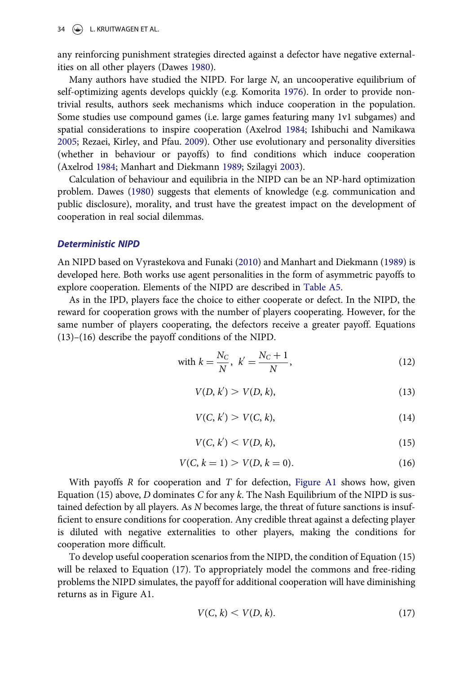any reinforcing punishment strategies directed against a defector have negative externalities on all other players (Dawes [1980](#page-13-0)).

Many authors have studied the NIPD. For large N, an uncooperative equilibrium of self-optimizing agents develops quickly (e.g. Komorita [1976](#page-14-0)). In order to provide nontrivial results, authors seek mechanisms which induce cooperation in the population. Some studies use compound games (i.e. large games featuring many 1v1 subgames) and spatial considerations to inspire cooperation (Axelrod [1984](#page-13-0); Ishibuchi and Namikawa [2005](#page-14-0); Rezaei, Kirley, and Pfau. [2009\)](#page-15-0). Other use evolutionary and personality diversities (whether in behaviour or payoffs) to find conditions which induce cooperation (Axelrod [1984](#page-13-0); Manhart and Diekmann [1989](#page-15-0); Szilagyi [2003](#page-16-0)).

Calculation of behaviour and equilibria in the NIPD can be an NP-hard optimization problem. Dawes ([1980\)](#page-13-0) suggests that elements of knowledge (e.g. communication and public disclosure), morality, and trust have the greatest impact on the development of cooperation in real social dilemmas.

### Deterministic NIPD

An NIPD based on Vyrastekova and Funaki ([2010\)](#page-16-0) and Manhart and Diekmann ([1989\)](#page-15-0) is developed here. Both works use agent personalities in the form of asymmetric payoffs to explore cooperation. Elements of the NIPD are described in [Table A5](#page-22-0).

As in the IPD, players face the choice to either cooperate or defect. In the NIPD, the reward for cooperation grows with the number of players cooperating. However, for the same number of players cooperating, the defectors receive a greater payoff. Equations (13)–(16) describe the payoff conditions of the NIPD.

with 
$$
k = \frac{N_C}{N}
$$
,  $k' = \frac{N_C + 1}{N}$ , (12)

$$
V(D, k') > V(D, k),\tag{13}
$$

$$
V(C, k') > V(C, k),\tag{14}
$$

$$
V(C, k') < V(D, k),\tag{15}
$$

$$
V(C, k = 1) > V(D, k = 0).
$$
 (16)

With payoffs R for cooperation and T for defection, [Figure A1](#page-21-0) shows how, given Equation (15) above, D dominates C for any k. The Nash Equilibrium of the NIPD is sustained defection by all players. As N becomes large, the threat of future sanctions is insufficient to ensure conditions for cooperation. Any credible threat against a defecting player is diluted with negative externalities to other players, making the conditions for cooperation more difficult.

To develop useful cooperation scenarios from the NIPD, the condition of Equation (15) will be relaxed to Equation (17). To appropriately model the commons and free-riding problems the NIPD simulates, the payoff for additional cooperation will have diminishing returns as in Figure A1.

$$
V(C,k) < V(D,k). \tag{17}
$$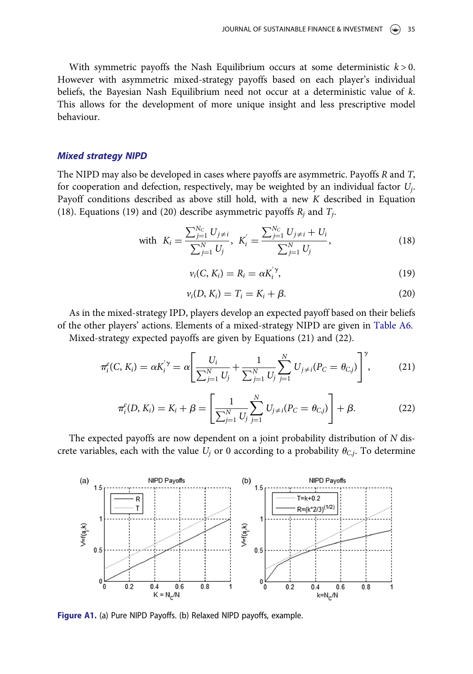<span id="page-21-0"></span>With symmetric payoffs the Nash Equilibrium occurs at some deterministic  $k > 0$ . However with asymmetric mixed-strategy payoffs based on each player's individual beliefs, the Bayesian Nash Equilibrium need not occur at a deterministic value of k. This allows for the development of more unique insight and less prescriptive model behaviour.

### Mixed strategy NIPD

The NIPD may also be developed in cases where payoffs are asymmetric. Payoffs R and T, for cooperation and defection, respectively, may be weighted by an individual factor  $U_i$ . Payoff conditions described as above still hold, with a new K described in Equation (18). Equations (19) and (20) describe asymmetric payoffs  $R_i$  and  $T_i$ .

with 
$$
K_i = \frac{\sum_{j=1}^{N_C} U_{j \neq i}}{\sum_{j=1}^{N} U_j}
$$
,  $K'_i = \frac{\sum_{j=1}^{N_C} U_{j \neq i} + U_i}{\sum_{j=1}^{N} U_j}$ , (18)

$$
v_i(C, K_i) = R_i = \alpha K_i^{'\gamma}, \qquad (19)
$$

$$
\nu_i(D, K_i) = T_i = K_i + \beta. \tag{20}
$$

As in the mixed-strategy IPD, players develop an expected payoff based on their beliefs of the other players' actions. Elements of a mixed-strategy NIPD are given in [Table A6.](#page-22-0)

Mixed-strategy expected payoffs are given by Equations (21) and (22).

$$
\pi_i^e(C, K_i) = \alpha K_i^{'\gamma} = \alpha \left[ \frac{U_i}{\sum_{j=1}^N U_j} + \frac{1}{\sum_{j=1}^N U_j} \sum_{j=1}^N U_{j \neq i} (P_C = \theta_{C,j}) \right]^\gamma, \tag{21}
$$

$$
\pi_i^e(D, K_i) = K_i + \beta = \left[ \frac{1}{\sum_{j=1}^N U_j} \sum_{j=1}^N U_{j \neq i} (P_C = \theta_{C,j}) \right] + \beta.
$$
 (22)

The expected payoffs are now dependent on a joint probability distribution of N discrete variables, each with the value  $U_j$  or 0 according to a probability  $\theta_{C,j}$ . To determine



Figure A1. (a) Pure NIPD Payoffs. (b) Relaxed NIPD payoffs, example.